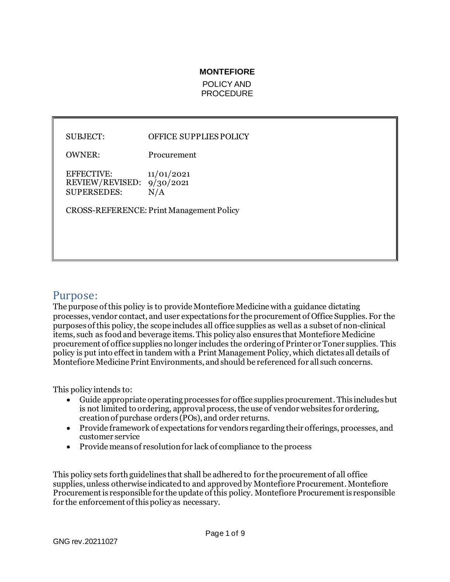#### **MONTEFIORE**

POLICY AND **PROCEDURE** 

#### SUBJECT: OFFICE SUPPLIES POLICY

OWNER: Procurement

EFFECTIVE: 11/01/2021 REVIEW/REVISED: 9/30/2021 SUPERSEDES: N/A

CROSS-REFERENCE: Print Management Policy

# Purpose:

The purpose of this policy is to provide Montefiore Medicine with a guidance dictating processes, vendor contact, and user expectations for the procurement of Office Supplies. For the purposes of this policy, the scope includes all office supplies as well as a subset of non-clinical items, such as food and beverage items. This policy also ensures that Montefiore Medicine procurement of office supplies no longer includes the ordering of Printer or Toner supplies. This policy is put into effect in tandem with a Print Management Policy, which dictates all details of Montefiore Medicine Print Environments, and should be referenced for all such concerns.

This policy intends to:

- Guide appropriate operating processes for office supplies procurement. This includes but is not limited to ordering, approval process, the use of vendor websites for ordering, creation of purchase orders (POs), and order returns.
- Provide framework of expectations for vendors regarding their offerings, processes, and customer service
- Provide means of resolution for lack of compliance to the process

This policy sets forth guidelines that shall be adhered to for the procurement of all office supplies, unless otherwise indicated to and approved by Montefiore Procurement. Montefiore Procurement is responsible for the update of this policy. Montefiore Procurement is responsible for the enforcement of this policy as necessary.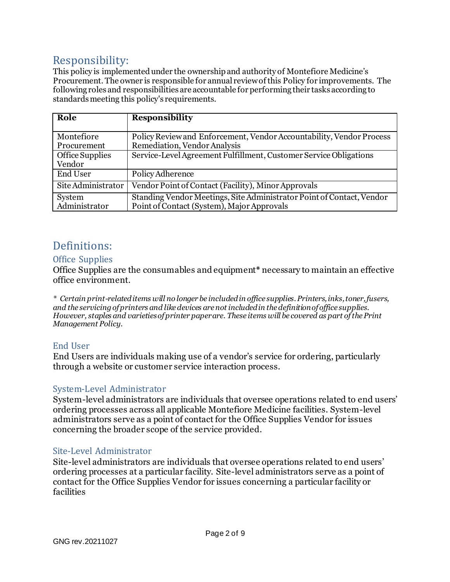# Responsibility:

This policy is implemented under the ownership and authority of Montefiore Medicine's Procurement. The owner is responsible for annual review of this Policy for improvements. The following roles and responsibilities are accountable for performing their tasks according to standards meeting this policy's requirements.

| Role               | <b>Responsibility</b>                                                 |
|--------------------|-----------------------------------------------------------------------|
|                    |                                                                       |
| Montefiore         | Policy Review and Enforcement, Vendor Accountability, Vendor Process  |
| Procurement        | Remediation, Vendor Analysis                                          |
| Office Supplies    | Service-Level Agreement Fulfillment, Customer Service Obligations     |
| Vendor             |                                                                       |
| <b>End User</b>    | Policy Adherence                                                      |
| Site Administrator | Vendor Point of Contact (Facility), Minor Approvals                   |
| System             | Standing Vendor Meetings, Site Administrator Point of Contact, Vendor |
| Administrator      | Point of Contact (System), Major Approvals                            |

# Definitions:

# Office Supplies

Office Supplies are the consumables and equipment**\*** necessary to maintain an effective office environment.

*\* Certain print-related items will no longer be included in office supplies. Printers, inks, toner, fusers, and the servicingof printers and like devices are not included in the definition of office supplies. However, staples and varieties of printer paper are. These items will be covered as part of the Print Management Policy.*

# End User

End Users are individuals making use of a vendor's service for ordering, particularly through a website or customer service interaction process.

# System-Level Administrator

System-level administrators are individuals that oversee operations related to end users' ordering processes across all applicable Montefiore Medicine facilities. System-level administrators serve as a point of contact for the Office Supplies Vendor for issues concerning the broader scope of the service provided.

## Site-Level Administrator

Site-level administrators are individuals that oversee operations related to end users' ordering processes at a particular facility. Site-level administrators serve as a point of contact for the Office Supplies Vendor for issues concerning a particular facility or facilities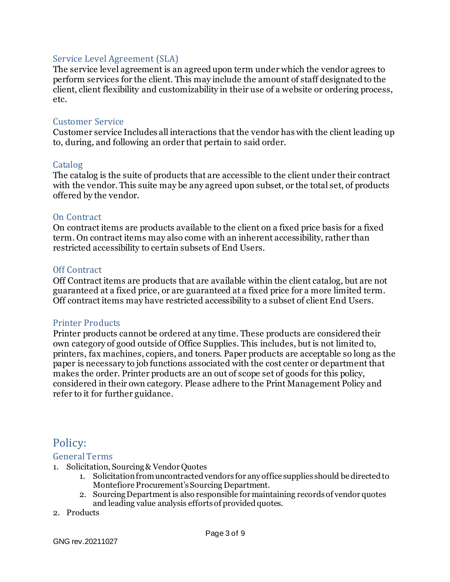## Service Level Agreement (SLA)

The service level agreement is an agreed upon term under which the vendor agrees to perform services for the client. This may include the amount of staff designated to the client, client flexibility and customizability in their use of a website or ordering process, etc.

## Customer Service

Customer service Includes all interactions that the vendor has with the client leading up to, during, and following an order that pertain to said order.

## Catalog

The catalog is the suite of products that are accessible to the client under their contract with the vendor. This suite may be any agreed upon subset, or the total set, of products offered by the vendor.

## On Contract

On contract items are products available to the client on a fixed price basis for a fixed term. On contract items may also come with an inherent accessibility, rather than restricted accessibility to certain subsets of End Users.

## Off Contract

Off Contract items are products that are available within the client catalog, but are not guaranteed at a fixed price, or are guaranteed at a fixed price for a more limited term. Off contract items may have restricted accessibility to a subset of client End Users.

## Printer Products

Printer products cannot be ordered at any time. These products are considered their own category of good outside of Office Supplies. This includes, but is not limited to, printers, fax machines, copiers, and toners. Paper products are acceptable so long as the paper is necessary to job functions associated with the cost center or department that makes the order. Printer products are an out of scope set of goods for this policy, considered in their own category. Please adhere to the Print Management Policy and refer to it for further guidance.

# Policy:

## General Terms

- 1. Solicitation, Sourcing & Vendor Quotes
	- 1. Solicitation from uncontracted vendors for any office supplies should be directed to Montefiore Procurement's Sourcing Department.
	- 2. Sourcing Department is also responsible for maintaining records of vendor quotes and leading value analysis efforts of provided quotes.
- 2. Products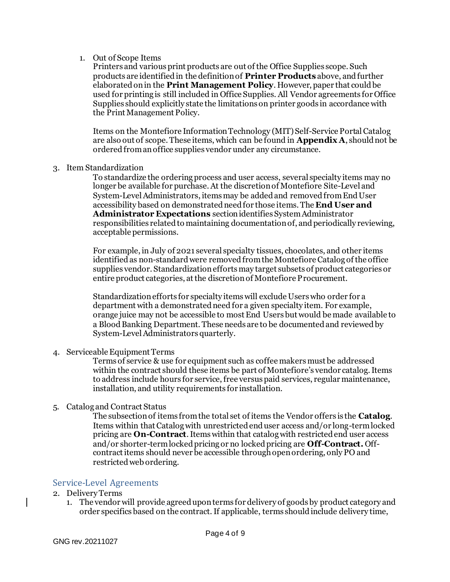#### 1. Out of Scope Items

Printers and various print products are out of the Office Supplies scope. Such products are identified in the definition of **Printer Products** above, and further elaborated on in the **Print Management Policy**. However, paper that could be used for printing is still included in Office Supplies. All Vendor agreements for Office Supplies should explicitly state the limitations on printer goods in accordance with the Print Management Policy.

Items on the Montefiore Information Technology (MIT)Self-Service Portal Catalog are also out of scope. These items, which can be found in **Appendix A**, should not be ordered from an office supplies vendor under any circumstance.

3. Item Standardization

To standardize the ordering process and user access, several specialty items may no longer be available for purchase. At the discretion of Montefiore Site-Level and System-Level Administrators, items may be added and removed from End User accessibility based on demonstrated need for those items. The **End User and Administrator Expectations** section identifies System Administrator responsibilities related to maintaining documentation of, and periodically reviewing, acceptable permissions.

For example, in July of 2021 several specialty tissues, chocolates, and other items identified as non-standard were removed from the Montefiore Catalog of the office supplies vendor. Standardization efforts may target subsets of product categories or entire product categories, at the discretion of Montefiore Procurement.

Standardization efforts for specialty items will exclude Users who order for a department with a demonstrated need for a given specialty item. For example, orange juice may not be accessible to most End Users but would be made available to a Blood Banking Department. These needs are to be documented and reviewed by System-Level Administrators quarterly.

4. Serviceable Equipment Terms

Terms of service & use for equipment such as coffee makers must be addressed within the contract should these items be part of Montefiore's vendor catalog. Items to address include hours for service, free versus paid services, regular maintenance, installation, and utility requirements for installation.

5. Catalog and Contract Status

The subsection of items from the total set of items the Vendor offers is the **Catalog**. Items within that Catalog with unrestricted end user access and/or long-term locked pricing are **On-Contract**. Items within that catalog with restricted end user access and/or shorter-term locked pricing or no locked pricing are **Off-Contract.** Offcontract items should never be accessible through open ordering, only PO and restricted web ordering.

#### Service-Level Agreements

- 2. Delivery Terms
	- 1. The vendor will provide agreed upon terms for delivery of goods by product category and order specifics based on the contract.If applicable, terms should include delivery time,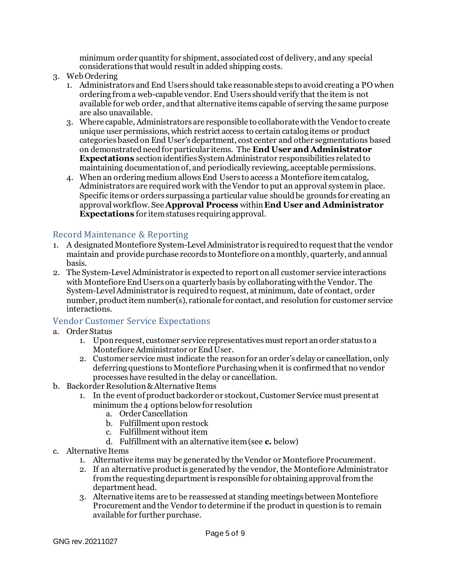minimum order quantity for shipment, associated cost of delivery, and any special considerations that would result in added shipping costs.

- 3. Web Ordering
	- 1. Administrators and End Users should take reasonable steps to avoid creating a PO when ordering from a web-capable vendor. End Users should verify that the item is not available for web order, and that alternative items capable of serving the same purpose are also unavailable.
	- 3. Where capable, Administrators are responsible to collaborate with the Vendor to create unique user permissions, which restrict access to certain catalog items or product categories based on End User's department, cost center and other segmentations based on demonstrated need for particular items. The **End User and Administrator Expectations** section identifies System Administrator responsibilities related to maintaining documentation of, and periodically reviewing, acceptable permissions.
	- 4. When an ordering medium allows End Users to access a Montefiore item catalog, Administrators are required work with the Vendor to put an approval system in place. Specific items or orders surpassing a particular value should be grounds for creating an approval workflow. See **Approval Process** within **End User and Administrator Expectations** for item statuses requiring approval.

# Record Maintenance & Reporting

- 1. A designated Montefiore System-Level Administrator is required to request that the vendor maintain and provide purchase records to Montefiore on a monthly, quarterly, and annual basis.
- 2. The System-LevelAdministrator is expected to report on all customer service interactions with Montefiore End Users on a quarterly basis by collaborating with the Vendor. The System-LevelAdministrator is required to request, at minimum, date of contact, order number, product item number(s), rationale for contact, and resolution for customer service interactions.

# Vendor Customer Service Expectations

- a. Order Status
	- 1. Upon request, customer service representatives must report an order status to a Montefiore Administrator or End User.
	- 2. Customer service must indicate the reason for an order's delay or cancellation, only deferring questions to Montefiore Purchasing when it is confirmed that no vendor processes have resulted in the delay or cancellation.
- b. Backorder Resolution& Alternative Items
	- 1. In the event of product backorder or stockout, Customer Service must present at minimum the 4 options below for resolution
		- a. Order Cancellation
		- b. Fulfillment upon restock
		- c. Fulfillment without item
		- d. Fulfillment with an alternative item (see **c.** below)
- c. Alternative Items
	- 1. Alternative items may be generated by the Vendor or Montefiore Procurement.
	- 2. If an alternative product is generated by the vendor, the Montefiore Administrator fromthe requesting department is responsible for obtaining approval from the department head.
	- 3. Alternative items are to be reassessed at standing meetings between Montefiore Procurement and the Vendor to determine if the product in question is to remain available for further purchase.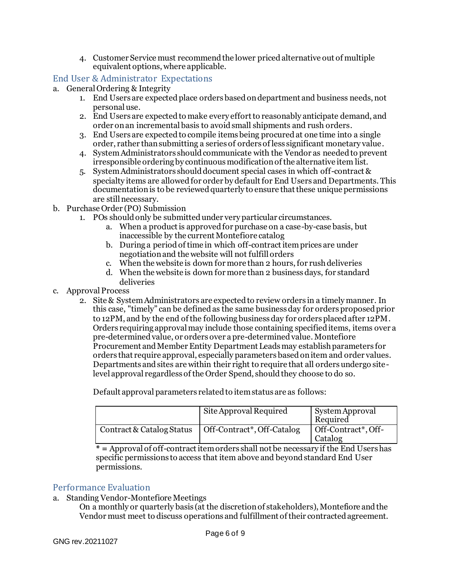4. Customer Service must recommend the lower priced alternative out of multiple equivalent options, where applicable.

## End User & Administrator Expectations

- a. General Ordering & Integrity
	- 1. End Users are expected place orders based on department and business needs, not personal use.
	- 2. End Users are expected to make every effort to reasonably anticipate demand, and order on an incremental basis to avoid small shipments and rush orders.
	- 3. End Users are expected to compile items being procured at one time into a single order, rather than submitting a series of orders of less significant monetary value.
	- 4. SystemAdministrators should communicate with the Vendor as needed to prevent irresponsible ordering by continuous modification of the alternative item list.
	- 5. System Administrators should document special cases in which off-contract & specialty items are allowed for order by default for End Users and Departments. This documentation is to be reviewed quarterly to ensure that these unique permissions are still necessary.
- b. Purchase Order (PO) Submission
	- 1. POs should only be submitted under very particular circumstances.
		- a. When a product is approved for purchase on a case-by-case basis, but inaccessible by the current Montefiore catalog
		- b. During a period of time in which off-contract item prices are under negotiation and the website will not fulfill orders
		- c. When the website is down for more than 2 hours, for rush deliveries
		- d. When the website is down for more than 2 business days, for standard deliveries
- c. Approval Process
	- 2. Site & System Administrators are expected to review orders in a timely manner. In this case, "timely" can be defined as the same business day for orders proposed prior to 12PM, and by the end of the following business day for orders placed after 12PM. Orders requiring approval may include those containing specified items, items over a pre-determined value, or orders over a pre-determined value. Montefiore Procurement and Member Entity Department Leads may establish parameters for orders that require approval, especially parameters based on item and order values. Departments and sites are within their right to require that all orders undergo sitelevel approval regardless of the Order Spend, should they choose to do so.

Default approval parameters related to item status are as follows:

|                           | Site Approval Required     | System Approval<br>Required    |
|---------------------------|----------------------------|--------------------------------|
| Contract & Catalog Status | Off-Contract*, Off-Catalog | Off-Contract*, Off-<br>Catalog |

**\* =** Approval of off-contract item orders shall not be necessary if the End Users has specific permissions to access that item above and beyond standard End User permissions.

## Performance Evaluation

- a. Standing Vendor-Montefiore Meetings
	- On a monthly or quarterly basis (at the discretion of stakeholders), Montefiore and the Vendor must meet to discuss operations and fulfillment of their contracted agreement.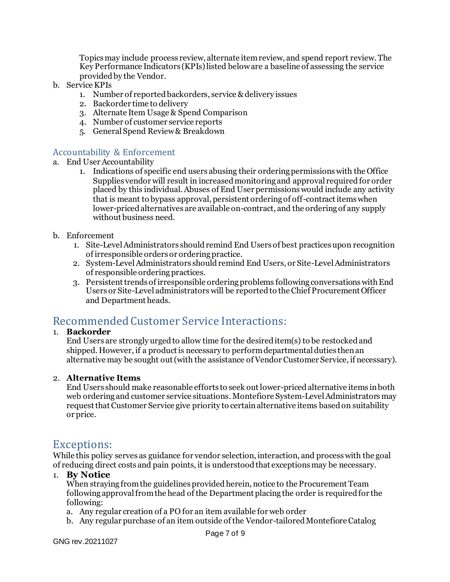Topics may include process review, alternate item review, and spend report review. The Key Performance Indicators (KPIs) listed below are a baseline of assessing the service provided by the Vendor.

- b. Service KPIs
	- 1. Number of reported backorders, service & delivery issues
	- 2. Backorder time to delivery
	- 3. Alternate Item Usage & Spend Comparison
	- 4. Number of customer service reports
	- 5. General Spend Review & Breakdown

## Accountability & Enforcement

- a. End User Accountability
	- 1. Indications of specific end users abusing their ordering permissions with the Office Supplies vendor will result in increased monitoring and approval required for order placed by this individual. Abuses of End User permissions would include any activity that is meant to bypass approval, persistent ordering of off-contract items when lower-priced alternatives are available on-contract, and the ordering of any supply without business need.
- b. Enforcement
	- 1. Site-Level Administrators should remind End Users of best practices upon recognition of irresponsible orders or ordering practice.
	- 2. System-Level Administrators should remind End Users, or Site-Level Administrators of responsible ordering practices.
	- 3. Persistent trends of irresponsible ordering problems following conversations with End Users or Site-Level administrators will be reported to the Chief Procurement Officer and Department heads.

# Recommended Customer Service Interactions:

#### 1. **Backorder**

End Users are strongly urged to allow time for the desired item(s) to be restocked and shipped. However, if a product is necessary to perform departmental duties then an alternative may be sought out (with the assistance of Vendor Customer Service, if necessary).

#### 2. **Alternative Items**

End Users should make reasonable efforts to seek out lower-priced alternative items in both web ordering and customer service situations. Montefiore System-Level Administrators may request that Customer Service give priority to certain alternative items based on suitability or price.

# Exceptions:

While this policy serves as guidance for vendor selection, interaction, and process with the goal of reducing direct costs and pain points, it is understood that exceptions may be necessary.

#### 1. **By Notice**

When straying from the guidelines provided herein, notice to the Procurement Team following approval from the head of the Department placing the order is required for the following:

- a. Any regular creation of a PO for an item available for web order
- b. Any regular purchase of an item outside of the Vendor-tailored Montefiore Catalog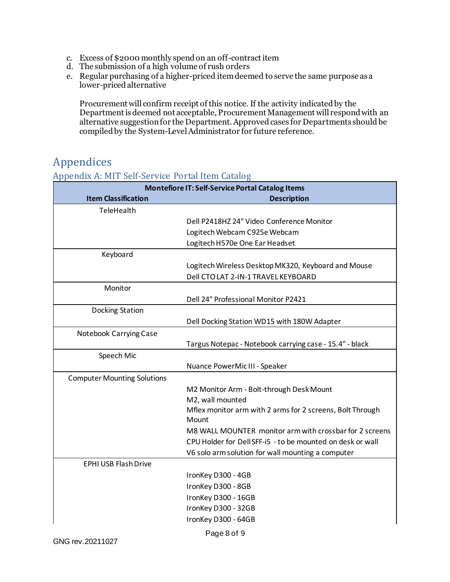- c. Excess of \$2000 monthly spend on an off-contract item
- d. The submission of a high volume of rush orders
- e. Regular purchasing of a higher-priced item deemed to serve the same purpose as a lower-priced alternative

Procurement will confirm receipt of this notice. If the activity indicated by the Department is deemed not acceptable, Procurement Management will respond with an alternative suggestion for the Department. Approved cases for Departments should be compiled by the System-LevelAdministrator for future reference.

# Appendices

# Appendix A: MIT Self-Service Portal Item Catalog

| <b>Montefiore IT: Self-Service Portal Catalog Items</b> |                                                            |  |
|---------------------------------------------------------|------------------------------------------------------------|--|
| <b>Item Classification</b>                              | <b>Description</b>                                         |  |
| TeleHealth                                              |                                                            |  |
|                                                         | Dell P2418HZ 24" Video Conference Monitor                  |  |
|                                                         | Logitech Webcam C925e Webcam                               |  |
|                                                         | Logitech H570e One Ear Headset                             |  |
| Keyboard                                                |                                                            |  |
|                                                         | Logitech Wireless Desktop MK320, Keyboard and Mouse        |  |
|                                                         | Dell CTO LAT 2-IN-1 TRAVEL KEYBOARD                        |  |
| Monitor                                                 |                                                            |  |
|                                                         | Dell 24" Professional Monitor P2421                        |  |
| Docking Station                                         |                                                            |  |
|                                                         | Dell Docking Station WD15 with 180W Adapter                |  |
| Notebook Carrying Case                                  |                                                            |  |
|                                                         | Targus Notepac - Notebook carrying case - 15.4" - black    |  |
| Speech Mic                                              |                                                            |  |
|                                                         | Nuance PowerMic III - Speaker                              |  |
| <b>Computer Mounting Solutions</b>                      |                                                            |  |
|                                                         | M2 Monitor Arm - Bolt-through Desk Mount                   |  |
|                                                         | M2, wall mounted                                           |  |
|                                                         | Mflex monitor arm with 2 arms for 2 screens, Bolt Through  |  |
|                                                         | Mount                                                      |  |
|                                                         | M8 WALL MOUNTER monitor arm with crossbar for 2 screens    |  |
|                                                         | CPU Holder for Dell SFF-i5 - to be mounted on desk or wall |  |
|                                                         | V6 solo arm solution for wall mounting a computer          |  |
| <b>EPHI USB Flash Drive</b>                             |                                                            |  |
|                                                         | IronKey D300 - 4GB                                         |  |
|                                                         | IronKey D300 - 8GB                                         |  |
|                                                         | IronKey D300 - 16GB                                        |  |
|                                                         | IronKey D300 - 32GB                                        |  |
|                                                         | IronKey D300 - 64GB                                        |  |